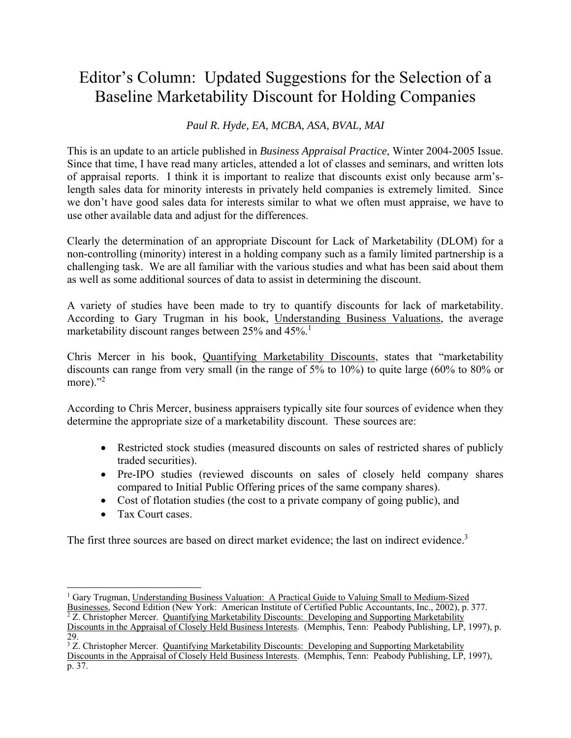## Editor's Column: Updated Suggestions for the Selection of a Baseline Marketability Discount for Holding Companies

## *Paul R. Hyde, EA, MCBA, ASA, BVAL, MAI*

This is an update to an article published in *Business Appraisal Practice*, Winter 2004-2005 Issue. Since that time, I have read many articles, attended a lot of classes and seminars, and written lots of appraisal reports. I think it is important to realize that discounts exist only because arm'slength sales data for minority interests in privately held companies is extremely limited. Since we don't have good sales data for interests similar to what we often must appraise, we have to use other available data and adjust for the differences.

Clearly the determination of an appropriate Discount for Lack of Marketability (DLOM) for a non-controlling (minority) interest in a holding company such as a family limited partnership is a challenging task. We are all familiar with the various studies and what has been said about them as well as some additional sources of data to assist in determining the discount.

A variety of studies have been made to try to quantify discounts for lack of marketability. According to Gary Trugman in his book, Understanding Business Valuations, the average marketability discount ranges between 25% and  $45\%$ .<sup>1</sup>

Chris Mercer in his book, Quantifying Marketability Discounts, states that "marketability discounts can range from very small (in the range of 5% to 10%) to quite large (60% to 80% or more). $"^{2}$ 

According to Chris Mercer, business appraisers typically site four sources of evidence when they determine the appropriate size of a marketability discount. These sources are:

- Restricted stock studies (measured discounts on sales of restricted shares of publicly traded securities).
- Pre-IPO studies (reviewed discounts on sales of closely held company shares compared to Initial Public Offering prices of the same company shares).
- Cost of flotation studies (the cost to a private company of going public), and
- Tax Court cases.

 $\overline{a}$ 

The first three sources are based on direct market evidence; the last on indirect evidence.<sup>3</sup>

<sup>&</sup>lt;sup>1</sup> Gary Trugman, Understanding Business Valuation: A Practical Guide to Valuing Small to Medium-Sized Businesses, Second Edition (New York: American Institute of Certified Public Accountants, Inc., 2002), p. 377.<br><sup>2</sup> Z. Christopher Mercer. Quantifying Marketability Discounts: Developing and Supporting Marketability Discounts in the Appraisal of Closely Held Business Interests. (Memphis, Tenn: Peabody Publishing, LP, 1997), p. 29.

<sup>&</sup>lt;sup>3</sup> Z. Christopher Mercer. Quantifying Marketability Discounts: Developing and Supporting Marketability Discounts in the Appraisal of Closely Held Business Interests. (Memphis, Tenn: Peabody Publishing, LP, 1997), p. 37.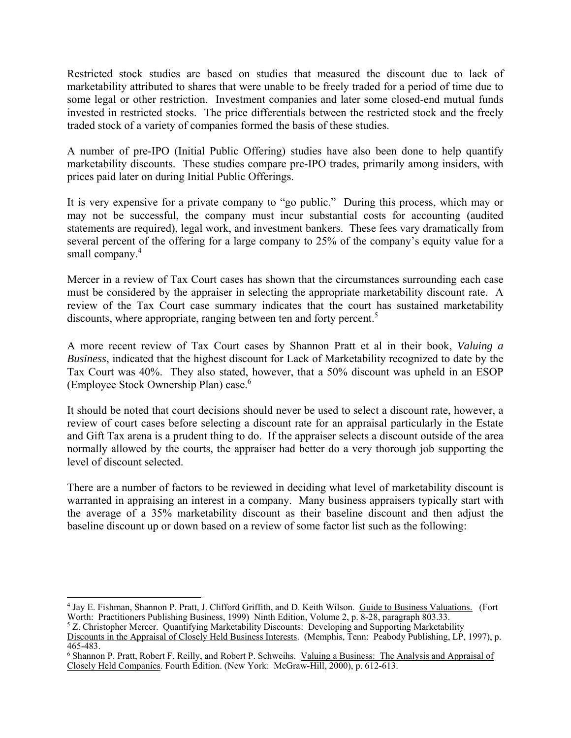Restricted stock studies are based on studies that measured the discount due to lack of marketability attributed to shares that were unable to be freely traded for a period of time due to some legal or other restriction. Investment companies and later some closed-end mutual funds invested in restricted stocks. The price differentials between the restricted stock and the freely traded stock of a variety of companies formed the basis of these studies.

A number of pre-IPO (Initial Public Offering) studies have also been done to help quantify marketability discounts. These studies compare pre-IPO trades, primarily among insiders, with prices paid later on during Initial Public Offerings.

It is very expensive for a private company to "go public." During this process, which may or may not be successful, the company must incur substantial costs for accounting (audited statements are required), legal work, and investment bankers. These fees vary dramatically from several percent of the offering for a large company to 25% of the company's equity value for a small company.<sup>4</sup>

Mercer in a review of Tax Court cases has shown that the circumstances surrounding each case must be considered by the appraiser in selecting the appropriate marketability discount rate. A review of the Tax Court case summary indicates that the court has sustained marketability discounts, where appropriate, ranging between ten and forty percent.<sup>5</sup>

A more recent review of Tax Court cases by Shannon Pratt et al in their book, *Valuing a Business*, indicated that the highest discount for Lack of Marketability recognized to date by the Tax Court was 40%. They also stated, however, that a 50% discount was upheld in an ESOP (Employee Stock Ownership Plan) case.6

It should be noted that court decisions should never be used to select a discount rate, however, a review of court cases before selecting a discount rate for an appraisal particularly in the Estate and Gift Tax arena is a prudent thing to do. If the appraiser selects a discount outside of the area normally allowed by the courts, the appraiser had better do a very thorough job supporting the level of discount selected.

There are a number of factors to be reviewed in deciding what level of marketability discount is warranted in appraising an interest in a company. Many business appraisers typically start with the average of a 35% marketability discount as their baseline discount and then adjust the baseline discount up or down based on a review of some factor list such as the following:

 4 Jay E. Fishman, Shannon P. Pratt, J. Clifford Griffith, and D. Keith Wilson. Guide to Business Valuations. (Fort Worth: Practitioners Publishing Business, 1999) Ninth Edition, Volume 2, p. 8-28, paragraph 803.33.

<sup>&</sup>lt;sup>5</sup> Z. Christopher Mercer. Quantifying Marketability Discounts: Developing and Supporting Marketability

Discounts in the Appraisal of Closely Held Business Interests. (Memphis, Tenn: Peabody Publishing, LP, 1997), p. 465-483.

<sup>&</sup>lt;sup>6</sup> Shannon P. Pratt, Robert F. Reilly, and Robert P. Schweihs. Valuing a Business: The Analysis and Appraisal of Closely Held Companies. Fourth Edition. (New York: McGraw-Hill, 2000), p. 612-613.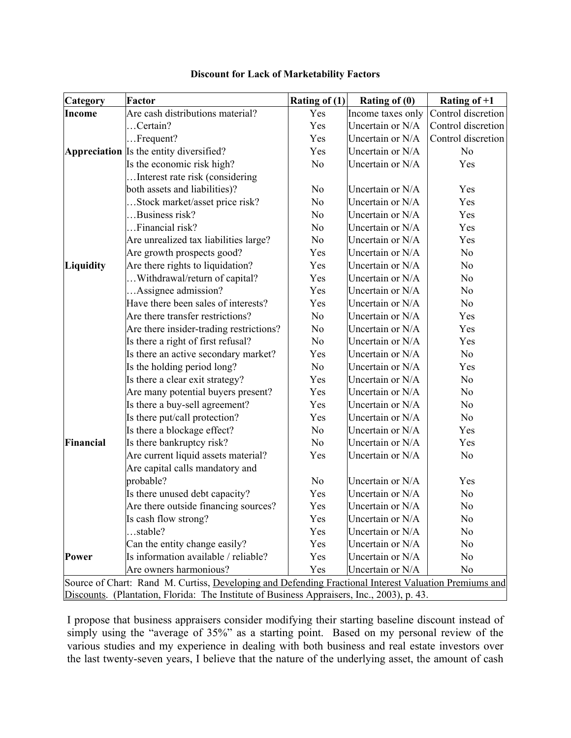| Category                                                                                              | Factor                                  | Rating of (1)  | Rating of (0)     | Rating of $+1$     |  |
|-------------------------------------------------------------------------------------------------------|-----------------------------------------|----------------|-------------------|--------------------|--|
| Income                                                                                                | Are cash distributions material?        | Yes            | Income taxes only | Control discretion |  |
|                                                                                                       | Certain?                                | Yes            | Uncertain or N/A  | Control discretion |  |
|                                                                                                       | $$ Frequent?                            | Yes            | Uncertain or N/A  | Control discretion |  |
|                                                                                                       | Appreciation Is the entity diversified? | Yes            | Uncertain or N/A  | N <sub>o</sub>     |  |
|                                                                                                       | Is the economic risk high?              | N <sub>o</sub> | Uncertain or N/A  | Yes                |  |
|                                                                                                       | Interest rate risk (considering         |                |                   |                    |  |
|                                                                                                       | both assets and liabilities)?           | N <sub>o</sub> | Uncertain or N/A  | Yes                |  |
|                                                                                                       | Stock market/asset price risk?          | No             | Uncertain or N/A  | Yes                |  |
|                                                                                                       | Business risk?                          | No             | Uncertain or N/A  | Yes                |  |
|                                                                                                       | Financial risk?                         | No             | Uncertain or N/A  | Yes                |  |
|                                                                                                       | Are unrealized tax liabilities large?   | N <sub>o</sub> | Uncertain or N/A  | Yes                |  |
|                                                                                                       | Are growth prospects good?              | Yes            | Uncertain or N/A  | N <sub>o</sub>     |  |
| Liquidity                                                                                             | Are there rights to liquidation?        | Yes            | Uncertain or N/A  | No                 |  |
|                                                                                                       | Withdrawal/return of capital?           | Yes            | Uncertain or N/A  | N <sub>o</sub>     |  |
|                                                                                                       | Assignee admission?                     | Yes            | Uncertain or N/A  | N <sub>o</sub>     |  |
|                                                                                                       | Have there been sales of interests?     | Yes            | Uncertain or N/A  | N <sub>o</sub>     |  |
|                                                                                                       | Are there transfer restrictions?        | No             | Uncertain or N/A  | Yes                |  |
|                                                                                                       | Are there insider-trading restrictions? | N <sub>o</sub> | Uncertain or N/A  | Yes                |  |
|                                                                                                       | Is there a right of first refusal?      | N <sub>o</sub> | Uncertain or N/A  | Yes                |  |
|                                                                                                       | Is there an active secondary market?    | Yes            | Uncertain or N/A  | N <sub>o</sub>     |  |
|                                                                                                       | Is the holding period long?             | No             | Uncertain or N/A  | Yes                |  |
|                                                                                                       | Is there a clear exit strategy?         | Yes            | Uncertain or N/A  | N <sub>o</sub>     |  |
|                                                                                                       | Are many potential buyers present?      | Yes            | Uncertain or N/A  | N <sub>o</sub>     |  |
|                                                                                                       | Is there a buy-sell agreement?          | Yes            | Uncertain or N/A  | N <sub>o</sub>     |  |
|                                                                                                       | Is there put/call protection?           | Yes            | Uncertain or N/A  | N <sub>o</sub>     |  |
|                                                                                                       | Is there a blockage effect?             | N <sub>o</sub> | Uncertain or N/A  | Yes                |  |
| Financial                                                                                             | Is there bankruptcy risk?               | No             | Uncertain or N/A  | Yes                |  |
|                                                                                                       | Are current liquid assets material?     | Yes            | Uncertain or N/A  | N <sub>o</sub>     |  |
|                                                                                                       | Are capital calls mandatory and         |                |                   |                    |  |
|                                                                                                       | probable?                               | No             | Uncertain or N/A  | Yes                |  |
|                                                                                                       | Is there unused debt capacity?          | Yes            | Uncertain or N/A  | No                 |  |
|                                                                                                       | Are there outside financing sources?    | Yes            | Uncertain or N/A  | No                 |  |
|                                                                                                       | Is cash flow strong?                    | Yes            | Uncertain or N/A  | No                 |  |
|                                                                                                       | stable?                                 | Yes            | Uncertain or N/A  | No                 |  |
|                                                                                                       | Can the entity change easily?           | Yes            | Uncertain or N/A  | N <sub>o</sub>     |  |
| <b>Power</b>                                                                                          | Is information available / reliable?    | Yes            | Uncertain or N/A  | No                 |  |
|                                                                                                       | Are owners harmonious?                  | Yes            | Uncertain or N/A  | No                 |  |
| Source of Chart: Rand M. Curtiss, Developing and Defending Fractional Interest Valuation Premiums and |                                         |                |                   |                    |  |
| Discounts. (Plantation, Florida: The Institute of Business Appraisers, Inc., 2003), p. 43.            |                                         |                |                   |                    |  |

## **Discount for Lack of Marketability Factors**

I propose that business appraisers consider modifying their starting baseline discount instead of simply using the "average of 35%" as a starting point. Based on my personal review of the various studies and my experience in dealing with both business and real estate investors over the last twenty-seven years, I believe that the nature of the underlying asset, the amount of cash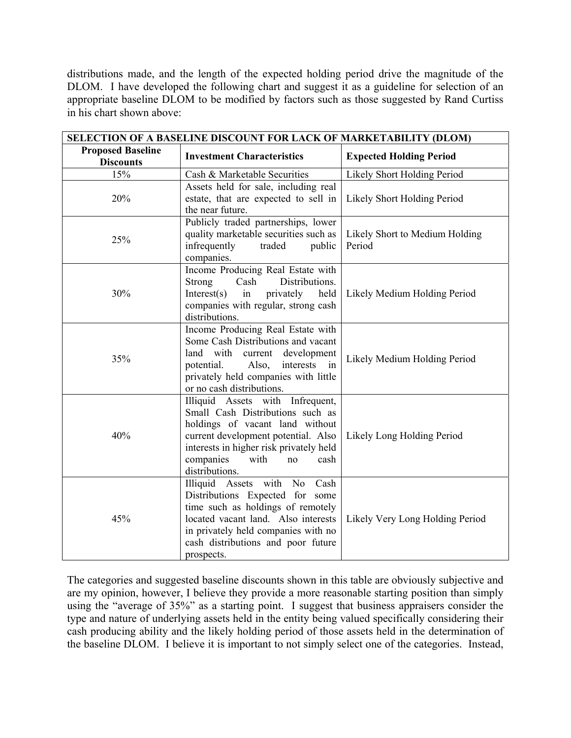distributions made, and the length of the expected holding period drive the magnitude of the DLOM. I have developed the following chart and suggest it as a guideline for selection of an appropriate baseline DLOM to be modified by factors such as those suggested by Rand Curtiss in his chart shown above:

| SELECTION OF A BASELINE DISCOUNT FOR LACK OF MARKETABILITY (DLOM) |                                                                                                                                                                                                                                                 |                                          |  |  |
|-------------------------------------------------------------------|-------------------------------------------------------------------------------------------------------------------------------------------------------------------------------------------------------------------------------------------------|------------------------------------------|--|--|
| <b>Proposed Baseline</b><br><b>Discounts</b>                      | <b>Investment Characteristics</b>                                                                                                                                                                                                               | <b>Expected Holding Period</b>           |  |  |
| 15%                                                               | Cash & Marketable Securities                                                                                                                                                                                                                    | Likely Short Holding Period              |  |  |
| 20%                                                               | Assets held for sale, including real<br>estate, that are expected to sell in<br>the near future.                                                                                                                                                | Likely Short Holding Period              |  |  |
| 25%                                                               | Publicly traded partnerships, lower<br>quality marketable securities such as<br>infrequently<br>traded<br>public<br>companies.                                                                                                                  | Likely Short to Medium Holding<br>Period |  |  |
| 30%                                                               | Income Producing Real Estate with<br>Distributions.<br>Strong<br>Cash<br>privately<br>Interest(s)<br>held<br>in<br>companies with regular, strong cash<br>distributions.                                                                        | Likely Medium Holding Period             |  |  |
| 35%                                                               | Income Producing Real Estate with<br>Some Cash Distributions and vacant<br>land with<br>current development<br>interests<br>potential.<br>Also,<br>in<br>privately held companies with little<br>or no cash distributions.                      | Likely Medium Holding Period             |  |  |
| 40%                                                               | Illiquid Assets with Infrequent,<br>Small Cash Distributions such as<br>holdings of vacant land without<br>current development potential. Also<br>interests in higher risk privately held<br>companies<br>with<br>cash<br>no<br>distributions.  | Likely Long Holding Period               |  |  |
| 45%                                                               | Illiquid Assets<br>with<br>No<br>Cash<br>Distributions Expected for some<br>time such as holdings of remotely<br>located vacant land. Also interests<br>in privately held companies with no<br>cash distributions and poor future<br>prospects. | Likely Very Long Holding Period          |  |  |

The categories and suggested baseline discounts shown in this table are obviously subjective and are my opinion, however, I believe they provide a more reasonable starting position than simply using the "average of 35%" as a starting point. I suggest that business appraisers consider the type and nature of underlying assets held in the entity being valued specifically considering their cash producing ability and the likely holding period of those assets held in the determination of the baseline DLOM. I believe it is important to not simply select one of the categories. Instead,